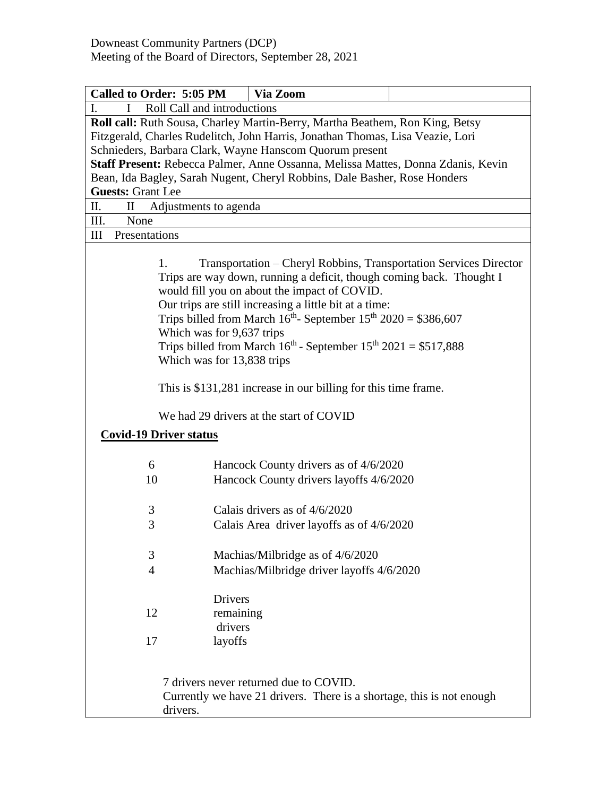| Called to Order: 5:05 PM<br>Via Zoom                                                                                                                                                                                                                                                                                                                                                                                                                                         |  |  |  |  |
|------------------------------------------------------------------------------------------------------------------------------------------------------------------------------------------------------------------------------------------------------------------------------------------------------------------------------------------------------------------------------------------------------------------------------------------------------------------------------|--|--|--|--|
| Roll Call and introductions                                                                                                                                                                                                                                                                                                                                                                                                                                                  |  |  |  |  |
| Roll call: Ruth Sousa, Charley Martin-Berry, Martha Beathem, Ron King, Betsy<br>Fitzgerald, Charles Rudelitch, John Harris, Jonathan Thomas, Lisa Veazie, Lori<br>Schnieders, Barbara Clark, Wayne Hanscom Quorum present<br>Staff Present: Rebecca Palmer, Anne Ossanna, Melissa Mattes, Donna Zdanis, Kevin<br>Bean, Ida Bagley, Sarah Nugent, Cheryl Robbins, Dale Basher, Rose Honders<br><b>Guests: Grant Lee</b>                                                       |  |  |  |  |
| П.<br>$\mathbf{I}$<br>Adjustments to agenda                                                                                                                                                                                                                                                                                                                                                                                                                                  |  |  |  |  |
| III.<br>None                                                                                                                                                                                                                                                                                                                                                                                                                                                                 |  |  |  |  |
| Presentations<br>Ш                                                                                                                                                                                                                                                                                                                                                                                                                                                           |  |  |  |  |
| Transportation - Cheryl Robbins, Transportation Services Director<br>1.<br>Trips are way down, running a deficit, though coming back. Thought I<br>would fill you on about the impact of COVID.<br>Our trips are still increasing a little bit at a time:<br>Trips billed from March $16^{th}$ - September $15^{th}$ 2020 = \$386,607<br>Which was for 9,637 trips<br>Trips billed from March $16^{th}$ - September $15^{th}$ 2021 = \$517,888<br>Which was for 13,838 trips |  |  |  |  |
| This is \$131,281 increase in our billing for this time frame.                                                                                                                                                                                                                                                                                                                                                                                                               |  |  |  |  |
| We had 29 drivers at the start of COVID                                                                                                                                                                                                                                                                                                                                                                                                                                      |  |  |  |  |
| <b>Covid-19 Driver status</b>                                                                                                                                                                                                                                                                                                                                                                                                                                                |  |  |  |  |
| Hancock County drivers as of 4/6/2020<br>6                                                                                                                                                                                                                                                                                                                                                                                                                                   |  |  |  |  |
| 10<br>Hancock County drivers layoffs 4/6/2020                                                                                                                                                                                                                                                                                                                                                                                                                                |  |  |  |  |
| $\mathfrak{Z}$<br>Calais drivers as of $4/6/2020$<br>3<br>Calais Area driver layoffs as of 4/6/2020                                                                                                                                                                                                                                                                                                                                                                          |  |  |  |  |
|                                                                                                                                                                                                                                                                                                                                                                                                                                                                              |  |  |  |  |
| 3<br>Machias/Milbridge as of 4/6/2020<br>Machias/Milbridge driver layoffs 4/6/2020<br>4                                                                                                                                                                                                                                                                                                                                                                                      |  |  |  |  |
|                                                                                                                                                                                                                                                                                                                                                                                                                                                                              |  |  |  |  |
| <b>Drivers</b><br>12<br>remaining<br>drivers<br>layoffs<br>17                                                                                                                                                                                                                                                                                                                                                                                                                |  |  |  |  |
| 7 drivers never returned due to COVID.<br>Currently we have 21 drivers. There is a shortage, this is not enough<br>drivers.                                                                                                                                                                                                                                                                                                                                                  |  |  |  |  |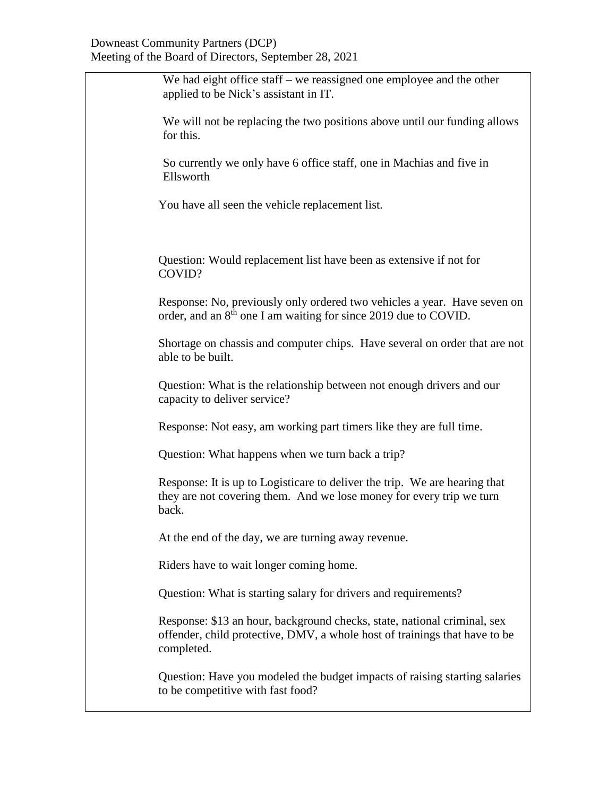## Downeast Community Partners (DCP) Meeting of the Board of Directors, September 28, 2021

| We had eight office staff - we reassigned one employee and the other<br>applied to be Nick's assistant in IT.                                                        |
|----------------------------------------------------------------------------------------------------------------------------------------------------------------------|
| We will not be replacing the two positions above until our funding allows<br>for this.                                                                               |
| So currently we only have 6 office staff, one in Machias and five in<br>Ellsworth                                                                                    |
| You have all seen the vehicle replacement list.                                                                                                                      |
| Question: Would replacement list have been as extensive if not for<br>COVID?                                                                                         |
| Response: No, previously only ordered two vehicles a year. Have seven on<br>order, and an 8 <sup>th</sup> one I am waiting for since 2019 due to COVID.              |
| Shortage on chassis and computer chips. Have several on order that are not<br>able to be built.                                                                      |
| Question: What is the relationship between not enough drivers and our<br>capacity to deliver service?                                                                |
| Response: Not easy, am working part timers like they are full time.                                                                                                  |
| Question: What happens when we turn back a trip?                                                                                                                     |
| Response: It is up to Logisticare to deliver the trip. We are hearing that<br>they are not covering them. And we lose money for every trip we turn<br>back.          |
| At the end of the day, we are turning away revenue.                                                                                                                  |
| Riders have to wait longer coming home.                                                                                                                              |
| Question: What is starting salary for drivers and requirements?                                                                                                      |
| Response: \$13 an hour, background checks, state, national criminal, sex<br>offender, child protective, DMV, a whole host of trainings that have to be<br>completed. |
| Question: Have you modeled the budget impacts of raising starting salaries<br>to be competitive with fast food?                                                      |
|                                                                                                                                                                      |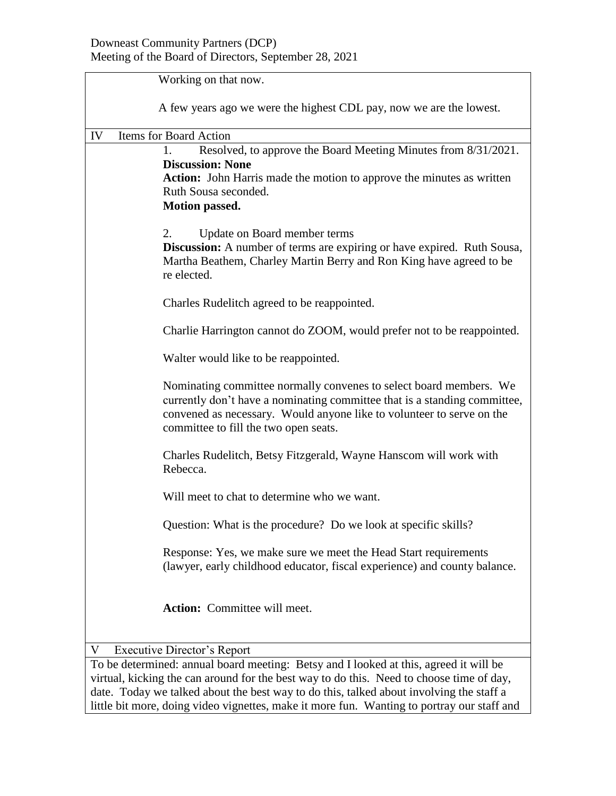| Working on that now.                                                                                                                                                                                                                                              |  |  |
|-------------------------------------------------------------------------------------------------------------------------------------------------------------------------------------------------------------------------------------------------------------------|--|--|
|                                                                                                                                                                                                                                                                   |  |  |
| A few years ago we were the highest CDL pay, now we are the lowest.                                                                                                                                                                                               |  |  |
| Items for Board Action<br>IV                                                                                                                                                                                                                                      |  |  |
| Resolved, to approve the Board Meeting Minutes from 8/31/2021.<br>1.<br><b>Discussion: None</b><br><b>Action:</b> John Harris made the motion to approve the minutes as written<br>Ruth Sousa seconded.<br><b>Motion passed.</b>                                  |  |  |
| 2.<br>Update on Board member terms<br>Discussion: A number of terms are expiring or have expired. Ruth Sousa,<br>Martha Beathem, Charley Martin Berry and Ron King have agreed to be<br>re elected.                                                               |  |  |
| Charles Rudelitch agreed to be reappointed.                                                                                                                                                                                                                       |  |  |
| Charlie Harrington cannot do ZOOM, would prefer not to be reappointed.                                                                                                                                                                                            |  |  |
| Walter would like to be reappointed.                                                                                                                                                                                                                              |  |  |
| Nominating committee normally convenes to select board members. We<br>currently don't have a nominating committee that is a standing committee,<br>convened as necessary. Would anyone like to volunteer to serve on the<br>committee to fill the two open seats. |  |  |
| Charles Rudelitch, Betsy Fitzgerald, Wayne Hanscom will work with<br>Rebecca.                                                                                                                                                                                     |  |  |
| Will meet to chat to determine who we want.                                                                                                                                                                                                                       |  |  |
| Question: What is the procedure? Do we look at specific skills?                                                                                                                                                                                                   |  |  |
| Response: Yes, we make sure we meet the Head Start requirements<br>(lawyer, early childhood educator, fiscal experience) and county balance.                                                                                                                      |  |  |
| <b>Action:</b> Committee will meet.                                                                                                                                                                                                                               |  |  |
| <b>Executive Director's Report</b><br>V                                                                                                                                                                                                                           |  |  |
| To be determined: annual board meeting: Betsy and I looked at this, agreed it will be                                                                                                                                                                             |  |  |
| virtual, kicking the can around for the best way to do this. Need to choose time of day,<br>date. Today we talked about the best way to do this, talked about involving the staff a                                                                               |  |  |

little bit more, doing video vignettes, make it more fun. Wanting to portray our staff and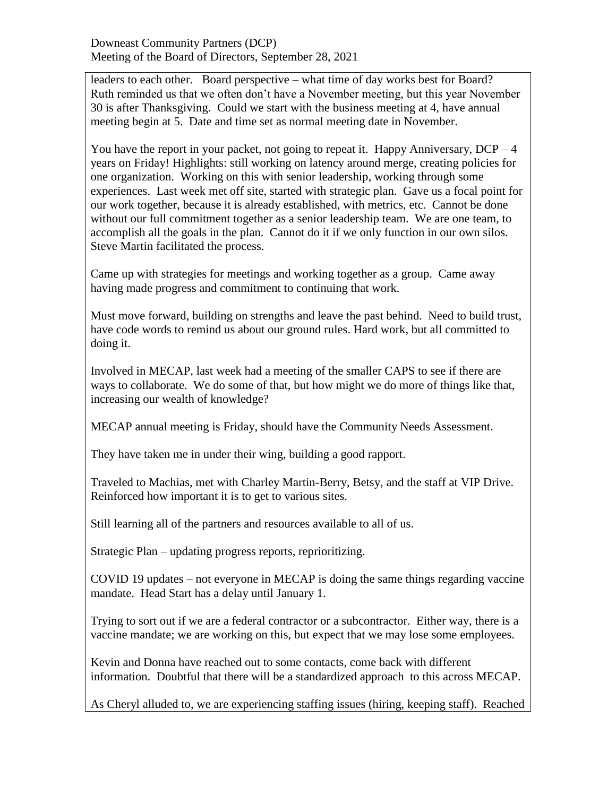leaders to each other. Board perspective – what time of day works best for Board? Ruth reminded us that we often don't have a November meeting, but this year November 30 is after Thanksgiving. Could we start with the business meeting at 4, have annual meeting begin at 5. Date and time set as normal meeting date in November.

You have the report in your packet, not going to repeat it. Happy Anniversary,  $DCP - 4$ years on Friday! Highlights: still working on latency around merge, creating policies for one organization. Working on this with senior leadership, working through some experiences. Last week met off site, started with strategic plan. Gave us a focal point for our work together, because it is already established, with metrics, etc. Cannot be done without our full commitment together as a senior leadership team. We are one team, to accomplish all the goals in the plan. Cannot do it if we only function in our own silos. Steve Martin facilitated the process.

Came up with strategies for meetings and working together as a group. Came away having made progress and commitment to continuing that work.

Must move forward, building on strengths and leave the past behind. Need to build trust, have code words to remind us about our ground rules. Hard work, but all committed to doing it.

Involved in MECAP, last week had a meeting of the smaller CAPS to see if there are ways to collaborate. We do some of that, but how might we do more of things like that, increasing our wealth of knowledge?

MECAP annual meeting is Friday, should have the Community Needs Assessment.

They have taken me in under their wing, building a good rapport.

Traveled to Machias, met with Charley Martin-Berry, Betsy, and the staff at VIP Drive. Reinforced how important it is to get to various sites.

Still learning all of the partners and resources available to all of us.

Strategic Plan – updating progress reports, reprioritizing.

COVID 19 updates – not everyone in MECAP is doing the same things regarding vaccine mandate. Head Start has a delay until January 1.

Trying to sort out if we are a federal contractor or a subcontractor. Either way, there is a vaccine mandate; we are working on this, but expect that we may lose some employees.

Kevin and Donna have reached out to some contacts, come back with different information. Doubtful that there will be a standardized approach to this across MECAP.

As Cheryl alluded to, we are experiencing staffing issues (hiring, keeping staff). Reached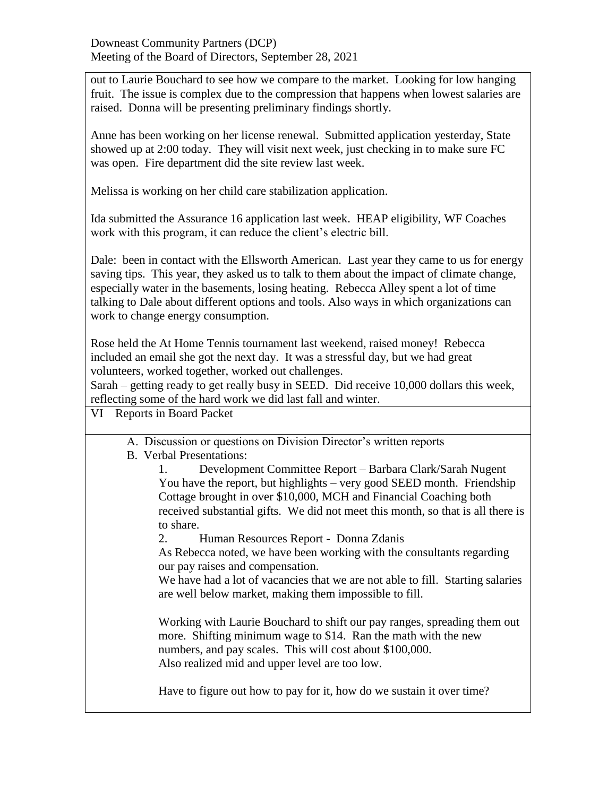out to Laurie Bouchard to see how we compare to the market. Looking for low hanging fruit. The issue is complex due to the compression that happens when lowest salaries are raised. Donna will be presenting preliminary findings shortly.

Anne has been working on her license renewal. Submitted application yesterday, State showed up at 2:00 today. They will visit next week, just checking in to make sure FC was open. Fire department did the site review last week.

Melissa is working on her child care stabilization application.

Ida submitted the Assurance 16 application last week. HEAP eligibility, WF Coaches work with this program, it can reduce the client's electric bill.

Dale: been in contact with the Ellsworth American. Last year they came to us for energy saving tips. This year, they asked us to talk to them about the impact of climate change, especially water in the basements, losing heating. Rebecca Alley spent a lot of time talking to Dale about different options and tools. Also ways in which organizations can work to change energy consumption.

Rose held the At Home Tennis tournament last weekend, raised money! Rebecca included an email she got the next day. It was a stressful day, but we had great volunteers, worked together, worked out challenges.

Sarah – getting ready to get really busy in SEED. Did receive 10,000 dollars this week, reflecting some of the hard work we did last fall and winter.

VI Reports in Board Packet

A. Discussion or questions on Division Director's written reports

## B. Verbal Presentations:

1. Development Committee Report – Barbara Clark/Sarah Nugent You have the report, but highlights – very good SEED month. Friendship Cottage brought in over \$10,000, MCH and Financial Coaching both received substantial gifts. We did not meet this month, so that is all there is to share.

2. Human Resources Report - Donna Zdanis

As Rebecca noted, we have been working with the consultants regarding our pay raises and compensation.

We have had a lot of vacancies that we are not able to fill. Starting salaries are well below market, making them impossible to fill.

Working with Laurie Bouchard to shift our pay ranges, spreading them out more. Shifting minimum wage to \$14. Ran the math with the new numbers, and pay scales. This will cost about \$100,000. Also realized mid and upper level are too low.

Have to figure out how to pay for it, how do we sustain it over time?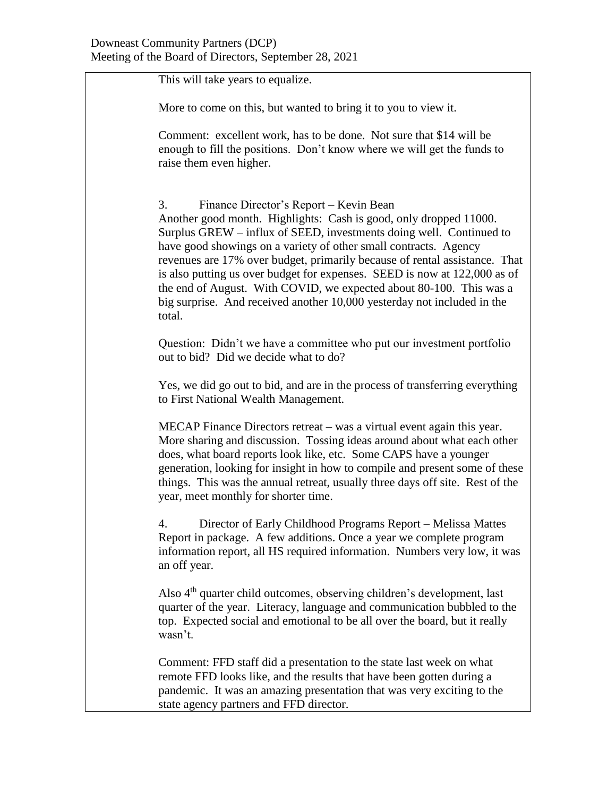This will take years to equalize.

More to come on this, but wanted to bring it to you to view it.

Comment: excellent work, has to be done. Not sure that \$14 will be enough to fill the positions. Don't know where we will get the funds to raise them even higher.

3. Finance Director's Report – Kevin Bean Another good month. Highlights: Cash is good, only dropped 11000. Surplus GREW – influx of SEED, investments doing well. Continued to have good showings on a variety of other small contracts. Agency revenues are 17% over budget, primarily because of rental assistance. That is also putting us over budget for expenses. SEED is now at 122,000 as of the end of August. With COVID, we expected about 80-100. This was a big surprise. And received another 10,000 yesterday not included in the total.

Question: Didn't we have a committee who put our investment portfolio out to bid? Did we decide what to do?

Yes, we did go out to bid, and are in the process of transferring everything to First National Wealth Management.

MECAP Finance Directors retreat – was a virtual event again this year. More sharing and discussion. Tossing ideas around about what each other does, what board reports look like, etc. Some CAPS have a younger generation, looking for insight in how to compile and present some of these things. This was the annual retreat, usually three days off site. Rest of the year, meet monthly for shorter time.

4. Director of Early Childhood Programs Report – Melissa Mattes Report in package. A few additions. Once a year we complete program information report, all HS required information. Numbers very low, it was an off year.

Also 4<sup>th</sup> quarter child outcomes, observing children's development, last quarter of the year. Literacy, language and communication bubbled to the top. Expected social and emotional to be all over the board, but it really wasn't.

Comment: FFD staff did a presentation to the state last week on what remote FFD looks like, and the results that have been gotten during a pandemic. It was an amazing presentation that was very exciting to the state agency partners and FFD director.